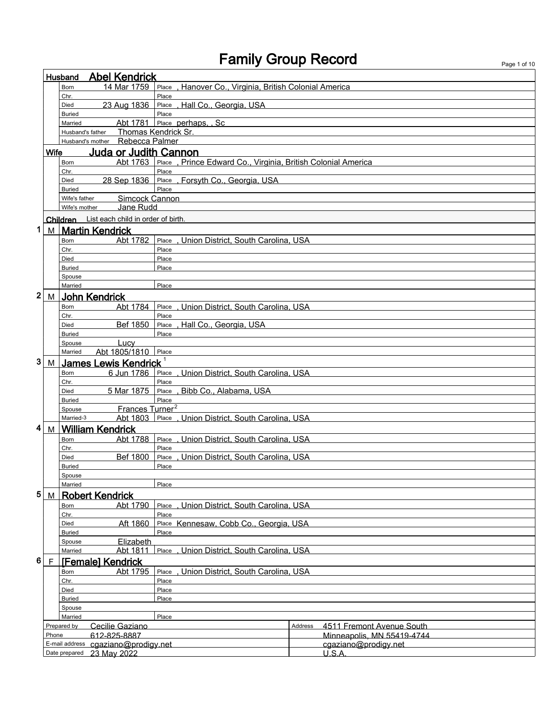| <b>Abel Kendrick</b><br>Husband |             |                                |                                             |                                                              |         |                                                    |  |
|---------------------------------|-------------|--------------------------------|---------------------------------------------|--------------------------------------------------------------|---------|----------------------------------------------------|--|
|                                 |             | <b>Born</b>                    | 14 Mar 1759                                 | Hanover Co., Virginia, British Colonial America<br>Place     |         |                                                    |  |
|                                 |             | Chr.                           |                                             | Place                                                        |         |                                                    |  |
|                                 |             | Died                           | 23 Aug 1836                                 | Place, Hall Co., Georgia, USA                                |         |                                                    |  |
|                                 |             | <b>Buried</b>                  |                                             | Place                                                        |         |                                                    |  |
|                                 |             | Married                        | Abt 1781                                    | Place perhaps. Sc                                            |         |                                                    |  |
|                                 |             | Husband's father               |                                             | <b>Thomas Kendrick Sr.</b>                                   |         |                                                    |  |
|                                 |             | Husband's mother               | Rebecca Palmer                              |                                                              |         |                                                    |  |
|                                 | <b>Wife</b> |                                | Juda or Judith Cannon                       |                                                              |         |                                                    |  |
|                                 |             | <b>Born</b>                    | Abt 1763                                    | Place, Prince Edward Co., Virginia, British Colonial America |         |                                                    |  |
|                                 |             | Chr.                           |                                             | Place                                                        |         |                                                    |  |
|                                 |             | Died                           |                                             | 28 Sep 1836 Place, Forsyth Co., Georgia, USA                 |         |                                                    |  |
|                                 |             | <b>Buried</b>                  | Simcock Cannon                              | Place                                                        |         |                                                    |  |
|                                 |             | Wife's father<br>Wife's mother | Jane Rudd                                   |                                                              |         |                                                    |  |
|                                 |             |                                |                                             |                                                              |         |                                                    |  |
|                                 |             |                                | Children List each child in order of birth. |                                                              |         |                                                    |  |
| 1                               |             |                                | M   Martin Kendrick                         |                                                              |         |                                                    |  |
|                                 |             | Born                           | Abt 1782                                    | Place, Union District, South Carolina, USA                   |         |                                                    |  |
|                                 |             | Chr.                           |                                             | Place                                                        |         |                                                    |  |
|                                 |             | Died                           |                                             | Place                                                        |         |                                                    |  |
|                                 |             | <b>Buried</b>                  |                                             | Place                                                        |         |                                                    |  |
|                                 |             | Spouse<br>Married              |                                             | Place                                                        |         |                                                    |  |
| 2                               |             |                                |                                             |                                                              |         |                                                    |  |
|                                 |             | M John Kendrick                |                                             |                                                              |         |                                                    |  |
|                                 |             | Born<br>Chr.                   | Abt 1784                                    | Place, Union District, South Carolina, USA<br>Place          |         |                                                    |  |
|                                 |             | Died                           | Bef 1850                                    | Place, Hall Co., Georgia, USA                                |         |                                                    |  |
|                                 |             | <b>Buried</b>                  |                                             | Place                                                        |         |                                                    |  |
|                                 |             | Spouse                         | Lucy                                        |                                                              |         |                                                    |  |
|                                 |             | Married                        | Abt 1805/1810                               | Place                                                        |         |                                                    |  |
| 3                               |             |                                | M James Lewis Kendrick <sup>1</sup>         |                                                              |         |                                                    |  |
|                                 |             | Born                           | 6 Jun 1786                                  | , Union District, South Carolina, USA<br>Place               |         |                                                    |  |
|                                 |             | Chr.                           |                                             | Place                                                        |         |                                                    |  |
|                                 |             | Died                           | 5 Mar 1875                                  | , Bibb Co., Alabama, USA<br>Place                            |         |                                                    |  |
|                                 |             | <b>Buried</b>                  |                                             | Place                                                        |         |                                                    |  |
|                                 |             | Spouse                         | Frances Turner <sup>2</sup>                 |                                                              |         |                                                    |  |
|                                 |             | Married-3                      | Abt 1803                                    | . Union District. South Carolina. USA<br>Place               |         |                                                    |  |
| 4                               | M           |                                | <b>William Kendrick</b>                     |                                                              |         |                                                    |  |
|                                 |             | Born                           | Abt 1788                                    | Union District, South Carolina, USA<br>Place.                |         |                                                    |  |
|                                 |             | Chr.                           |                                             | Place                                                        |         |                                                    |  |
|                                 |             | Died                           | Bef 1800                                    | Union District, South Carolina, USA<br>Place<br>Place        |         |                                                    |  |
|                                 |             | Buried<br>Spouse               |                                             |                                                              |         |                                                    |  |
|                                 |             | Married                        |                                             | Place                                                        |         |                                                    |  |
| 5                               | М           |                                | <b>Robert Kendrick</b>                      |                                                              |         |                                                    |  |
|                                 |             | Born                           | Abt 1790                                    | Place<br>Union District, South Carolina, USA                 |         |                                                    |  |
|                                 |             | Chr.                           |                                             | Place                                                        |         |                                                    |  |
|                                 |             | Died                           | Aft 1860                                    | Place Kennesaw, Cobb Co., Georgia, USA                       |         |                                                    |  |
|                                 |             | <b>Buried</b>                  |                                             | Place                                                        |         |                                                    |  |
|                                 |             | Spouse                         | Elizabeth                                   |                                                              |         |                                                    |  |
|                                 |             | Married                        | Abt 1811                                    | Union District. South Carolina. USA<br>Place                 |         |                                                    |  |
| 6                               | $\mathsf F$ |                                | <b>[Female] Kendrick</b>                    |                                                              |         |                                                    |  |
|                                 |             | Born                           | Abt 1795                                    | Union District, South Carolina, USA<br>Place                 |         |                                                    |  |
|                                 |             | Chr.                           |                                             | Place                                                        |         |                                                    |  |
|                                 |             | Died                           |                                             | Place                                                        |         |                                                    |  |
|                                 |             | <b>Buried</b>                  |                                             | Place                                                        |         |                                                    |  |
|                                 |             | Spouse                         |                                             |                                                              |         |                                                    |  |
|                                 |             | Married                        |                                             | Place                                                        |         |                                                    |  |
|                                 | Phone       | Prepared by                    | Cecilie Gaziano                             |                                                              | Address | 4511 Fremont Avenue South                          |  |
|                                 |             | E-mail address                 | 612-825-8887<br>cgaziano@prodigy.net        |                                                              |         | Minneapolis, MN 55419-4744<br>cgaziano@prodigy.net |  |
|                                 |             |                                | Date prepared 23 May 2022                   |                                                              |         | U.S.A.                                             |  |
|                                 |             |                                |                                             |                                                              |         |                                                    |  |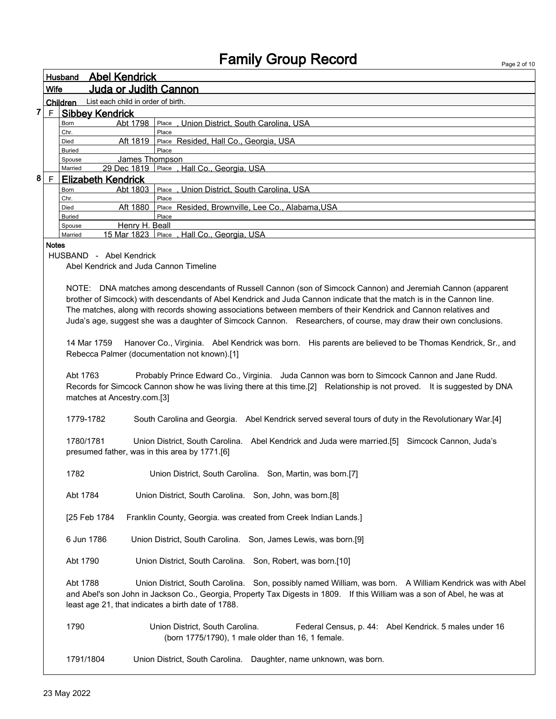Page 2 of 10

|                |               | Husband       | <b>Abel Kendrick</b>               |                                                  |
|----------------|---------------|---------------|------------------------------------|--------------------------------------------------|
|                | <b>Wife</b>   |               | <b>Juda or Judith Cannon</b>       |                                                  |
|                |               | Children      | List each child in order of birth. |                                                  |
| $\overline{7}$ | F             |               | <b>Sibbey Kendrick</b>             |                                                  |
|                |               | <b>Born</b>   | Abt 1798                           | Place, Union District, South Carolina, USA       |
|                |               | Chr.          |                                    | Place                                            |
|                |               | Died          | Aft 1819                           | Place Resided, Hall Co., Georgia, USA            |
|                |               | <b>Buried</b> |                                    | Place                                            |
|                |               | Spouse        | James Thompson                     |                                                  |
|                |               | Married       |                                    | 29 Dec 1819   Place , Hall Co., Georgia, USA     |
| 8              | E             |               | <b>Elizabeth Kendrick</b>          |                                                  |
|                |               | <b>Born</b>   | Abt 1803                           | Place, Union District, South Carolina, USA       |
|                |               | Chr.          |                                    | Place                                            |
|                |               | Died          | Aft 1880                           | Place Resided, Brownville, Lee Co., Alabama, USA |
|                |               | <b>Buried</b> |                                    | Place                                            |
|                |               | Spouse        | Henry H. Beall                     |                                                  |
|                |               | Married       | 15 Mar 1823                        | Place ,Hall Co., Georgia, USA                    |
|                | <b>Alatas</b> |               |                                    |                                                  |

Notes

HUSBAND - Abel Kendrick

Abel Kendrick and Juda Cannon Timeline

NOTE: DNA matches among descendants of Russell Cannon (son of Simcock Cannon) and Jeremiah Cannon (apparent brother of Simcock) with descendants of Abel Kendrick and Juda Cannon indicate that the match is in the Cannon line. The matches, along with records showing associations between members of their Kendrick and Cannon relatives and Juda's age, suggest she was a daughter of Simcock Cannon. Researchers, of course, may draw their own conclusions.

14 Mar 1759 Hanover Co., Virginia. Abel Kendrick was born. His parents are believed to be Thomas Kendrick, Sr., and Rebecca Palmer (documentation not known).[1]

Abt 1763 Probably Prince Edward Co., Virginia. Juda Cannon was born to Simcock Cannon and Jane Rudd. Records for Simcock Cannon show he was living there at this time.[2] Relationship is not proved. It is suggested by DNA matches at Ancestry.com.[3]

1779-1782 South Carolina and Georgia. Abel Kendrick served several tours of duty in the Revolutionary War.[4]

1780/1781 Union District, South Carolina. Abel Kendrick and Juda were married.[5] Simcock Cannon, Juda's presumed father, was in this area by 1771.[6]

1782 Union District, South Carolina. Son, Martin, was born.[7]

Abt 1784 Union District, South Carolina. Son, John, was born.[8]

[25 Feb 1784 Franklin County, Georgia. was created from Creek Indian Lands.]

6 Jun 1786 Union District, South Carolina. Son, James Lewis, was born.[9]

Abt 1790 Union District, South Carolina. Son, Robert, was born.[10]

Abt 1788 Union District, South Carolina. Son, possibly named William, was born. A William Kendrick was with Abel and Abel's son John in Jackson Co., Georgia, Property Tax Digests in 1809. If this William was a son of Abel, he was at least age 21, that indicates a birth date of 1788.

1790 **Union District, South Carolina.** Federal Census, p. 44: Abel Kendrick. 5 males under 16 (born 1775/1790), 1 male older than 16, 1 female.

1791/1804 Union District, South Carolina. Daughter, name unknown, was born.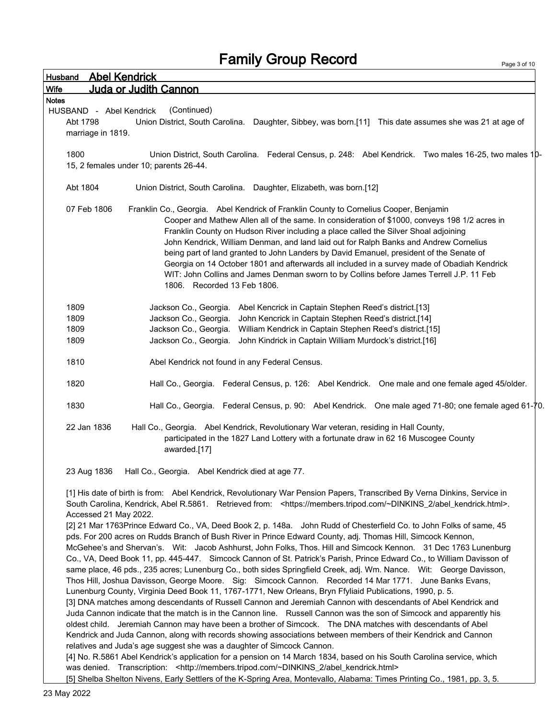| Husband                 | <b>Abel Kendrick</b>                                                                                                                |
|-------------------------|-------------------------------------------------------------------------------------------------------------------------------------|
| <b>Wife</b>             | Juda or Judith Cannon                                                                                                               |
| <b>Notes</b>            |                                                                                                                                     |
| HUSBAND - Abel Kendrick | (Continued)                                                                                                                         |
| Abt 1798                | Union District, South Carolina. Daughter, Sibbey, was born.[11] This date assumes she was 21 at age of                              |
| marriage in 1819.       |                                                                                                                                     |
|                         |                                                                                                                                     |
| 1800                    | Union District, South Carolina. Federal Census, p. 248: Abel Kendrick. Two males 16-25, two males 10-                               |
|                         | 15, 2 females under 10; parents 26-44.                                                                                              |
|                         |                                                                                                                                     |
| Abt 1804                | Union District, South Carolina. Daughter, Elizabeth, was born.[12]                                                                  |
|                         |                                                                                                                                     |
| 07 Feb 1806             | Franklin Co., Georgia. Abel Kendrick of Franklin County to Cornelius Cooper, Benjamin                                               |
|                         | Cooper and Mathew Allen all of the same. In consideration of \$1000, conveys 198 1/2 acres in                                       |
|                         | Franklin County on Hudson River including a place called the Silver Shoal adjoining                                                 |
|                         | John Kendrick, William Denman, and land laid out for Ralph Banks and Andrew Cornelius                                               |
|                         | being part of land granted to John Landers by David Emanuel, president of the Senate of                                             |
|                         | Georgia on 14 October 1801 and afterwards all included in a survey made of Obadiah Kendrick                                         |
|                         | WIT: John Collins and James Denman sworn to by Collins before James Terrell J.P. 11 Feb                                             |
|                         | 1806. Recorded 13 Feb 1806.                                                                                                         |
|                         |                                                                                                                                     |
| 1809                    | Jackson Co., Georgia. Abel Kencrick in Captain Stephen Reed's district.[13]                                                         |
| 1809                    | Jackson Co., Georgia.<br>John Kencrick in Captain Stephen Reed's district.[14]                                                      |
| 1809                    | Jackson Co., Georgia.<br>William Kendrick in Captain Stephen Reed's district.[15]                                                   |
| 1809                    | John Kindrick in Captain William Murdock's district.[16]<br>Jackson Co., Georgia.                                                   |
|                         |                                                                                                                                     |
| 1810                    | Abel Kendrick not found in any Federal Census.                                                                                      |
|                         |                                                                                                                                     |
| 1820                    | Hall Co., Georgia. Federal Census, p. 126: Abel Kendrick. One male and one female aged 45/older.                                    |
|                         |                                                                                                                                     |
| 1830                    | Hall Co., Georgia. Federal Census, p. 90: Abel Kendrick. One male aged 71-80; one female aged 61-70.                                |
|                         |                                                                                                                                     |
| 22 Jan 1836             | Hall Co., Georgia. Abel Kendrick, Revolutionary War veteran, residing in Hall County,                                               |
|                         | participated in the 1827 Land Lottery with a fortunate draw in 62 16 Muscogee County                                                |
|                         | awarded.[17]                                                                                                                        |
|                         |                                                                                                                                     |
| 23 Aug 1836             | Hall Co., Georgia. Abel Kendrick died at age 77.                                                                                    |
|                         |                                                                                                                                     |
|                         | [1] His date of birth is from: Abel Kendrick, Revolutionary War Pension Papers, Transcribed By Verna Dinkins, Service in            |
|                         | South Carolina, Kendrick, Abel R.5861. Retrieved from: <https: abel_kendrick.html="" members.tripod.com="" ~dinkins_2="">.</https:> |
| Accessed 21 May 2022.   |                                                                                                                                     |
|                         | [2] 21 Mar 1763Prince Edward Co., VA, Deed Book 2, p. 148a. John Rudd of Chesterfield Co. to John Folks of same, 45                 |
|                         | pds. For 200 acres on Rudds Branch of Bush River in Prince Edward County, adj. Thomas Hill, Simcock Kennon,                         |
|                         | McGehee's and Shervan's. Wit: Jacob Ashhurst, John Folks, Thos. Hill and Simcock Kennon. 31 Dec 1763 Lunenburg                      |
|                         | Co., VA, Deed Book 11, pp. 445-447. Simcock Cannon of St. Patrick's Parish, Prince Edward Co., to William Davisson of               |
|                         | same place, 46 pds., 235 acres; Lunenburg Co., both sides Springfield Creek, adj. Wm. Nance. Wit: George Davisson,                  |
|                         | Thos Hill, Joshua Davisson, George Moore. Sig: Simcock Cannon. Recorded 14 Mar 1771. June Banks Evans,                              |
|                         | Lunenburg County, Virginia Deed Book 11, 1767-1771, New Orleans, Bryn Ffyliaid Publications, 1990, p. 5.                            |
|                         | [3] DNA matches among descendants of Russell Cannon and Jeremiah Cannon with descendants of Abel Kendrick and                       |
|                         | Juda Cannon indicate that the match is in the Cannon line. Russell Cannon was the son of Simcock and apparently his                 |
|                         | oldest child. Jeremiah Cannon may have been a brother of Simcock. The DNA matches with descendants of Abel                          |
|                         | Kendrick and Juda Cannon, along with records showing associations between members of their Kendrick and Cannon                      |
|                         | relatives and Juda's age suggest she was a daughter of Simcock Cannon.                                                              |
|                         | [4] No. R.5861 Abel Kendrick's application for a pension on 14 March 1834, based on his South Carolina service, which               |
|                         | was denied. Transcription: < http://members.tripod.com/~DINKINS_2/abel_kendrick.html>                                               |
|                         | [5] Shelba Shelton Nivens, Early Settlers of the K-Spring Area, Montevallo, Alabama: Times Printing Co., 1981, pp. 3, 5.            |
|                         |                                                                                                                                     |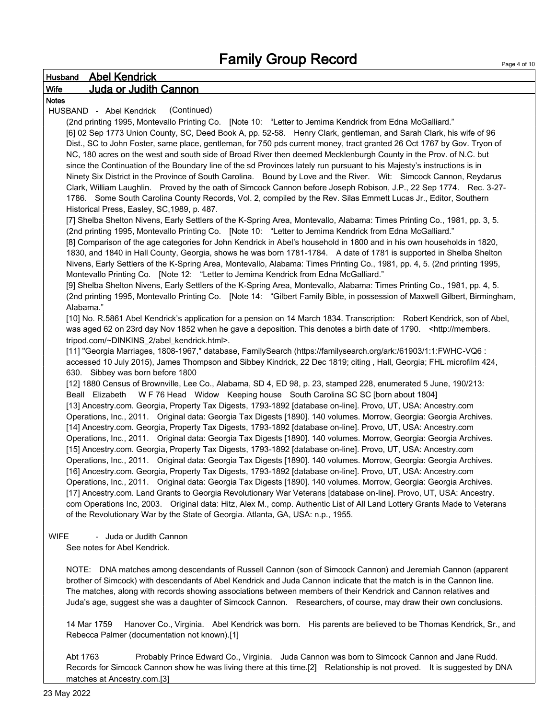|              | <b>Husband Abel Kendrick</b>                                                                                                                                                                                                          |
|--------------|---------------------------------------------------------------------------------------------------------------------------------------------------------------------------------------------------------------------------------------|
| <b>Wife</b>  | <b>Juda or Judith Cannon</b>                                                                                                                                                                                                          |
| <b>Notes</b> |                                                                                                                                                                                                                                       |
|              | (Continued)<br>HUSBAND - Abel Kendrick                                                                                                                                                                                                |
|              | (2nd printing 1995, Montevallo Printing Co. [Note 10: "Letter to Jemima Kendrick from Edna McGalliard."                                                                                                                               |
|              | [6] 02 Sep 1773 Union County, SC, Deed Book A, pp. 52-58. Henry Clark, gentleman, and Sarah Clark, his wife of 96                                                                                                                     |
|              | Dist., SC to John Foster, same place, gentleman, for 750 pds current money, tract granted 26 Oct 1767 by Gov. Tryon of                                                                                                                |
|              | NC, 180 acres on the west and south side of Broad River then deemed Mecklenburgh County in the Prov. of N.C. but                                                                                                                      |
|              | since the Continuation of the Boundary line of the sd Provinces lately run pursuant to his Majesty's instructions is in                                                                                                               |
|              | Ninety Six District in the Province of South Carolina. Bound by Love and the River. Wit: Simcock Cannon, Reydarus                                                                                                                     |
|              | Clark, William Laughlin. Proved by the oath of Simcock Cannon before Joseph Robison, J.P., 22 Sep 1774. Rec. 3-27-                                                                                                                    |
|              | 1786. Some South Carolina County Records, Vol. 2, compiled by the Rev. Silas Emmett Lucas Jr., Editor, Southern<br>Historical Press, Easley, SC, 1989, p. 487.                                                                        |
|              | [7] Shelba Shelton Nivens, Early Settlers of the K-Spring Area, Montevallo, Alabama: Times Printing Co., 1981, pp. 3, 5.                                                                                                              |
|              | (2nd printing 1995, Montevallo Printing Co. [Note 10: "Letter to Jemima Kendrick from Edna McGalliard."                                                                                                                               |
|              | [8] Comparison of the age categories for John Kendrick in Abel's household in 1800 and in his own households in 1820,                                                                                                                 |
|              | 1830, and 1840 in Hall County, Georgia, shows he was born 1781-1784. A date of 1781 is supported in Shelba Shelton                                                                                                                    |
|              | Nivens, Early Settlers of the K-Spring Area, Montevallo, Alabama: Times Printing Co., 1981, pp. 4, 5. (2nd printing 1995,                                                                                                             |
|              | Montevallo Printing Co. [Note 12: "Letter to Jemima Kendrick from Edna McGalliard."                                                                                                                                                   |
|              | [9] Shelba Shelton Nivens, Early Settlers of the K-Spring Area, Montevallo, Alabama: Times Printing Co., 1981, pp. 4, 5.                                                                                                              |
|              | (2nd printing 1995, Montevallo Printing Co. [Note 14: "Gilbert Family Bible, in possession of Maxwell Gilbert, Birmingham,                                                                                                            |
|              | Alabama."                                                                                                                                                                                                                             |
|              | [10] No. R.5861 Abel Kendrick's application for a pension on 14 March 1834. Transcription: Robert Kendrick, son of Abel,                                                                                                              |
|              | was aged 62 on 23rd day Nov 1852 when he gave a deposition. This denotes a birth date of 1790. < http://members.                                                                                                                      |
|              | tripod.com/~DINKINS_2/abel_kendrick.html>.                                                                                                                                                                                            |
|              | [11] "Georgia Marriages, 1808-1967," database, FamilySearch (https://familysearch.org/ark:/61903/1:1:FWHC-VQ6 :<br>accessed 10 July 2015), James Thompson and Sibbey Kindrick, 22 Dec 1819; citing, Hall, Georgia; FHL microfilm 424, |
|              | 630. Sibbey was born before 1800                                                                                                                                                                                                      |
|              | [12] 1880 Census of Brownville, Lee Co., Alabama, SD 4, ED 98, p. 23, stamped 228, enumerated 5 June, 190/213:                                                                                                                        |
|              | Beall Elizabeth W F 76 Head Widow Keeping house South Carolina SC SC [born about 1804]                                                                                                                                                |
|              | [13] Ancestry.com. Georgia, Property Tax Digests, 1793-1892 [database on-line]. Provo, UT, USA: Ancestry.com                                                                                                                          |
|              | Operations, Inc., 2011. Original data: Georgia Tax Digests [1890]. 140 volumes. Morrow, Georgia: Georgia Archives.                                                                                                                    |
|              | [14] Ancestry.com. Georgia, Property Tax Digests, 1793-1892 [database on-line]. Provo, UT, USA: Ancestry.com                                                                                                                          |
|              | Operations, Inc., 2011. Original data: Georgia Tax Digests [1890]. 140 volumes. Morrow, Georgia: Georgia Archives.                                                                                                                    |
|              | [15] Ancestry.com. Georgia, Property Tax Digests, 1793-1892 [database on-line]. Provo, UT, USA: Ancestry.com                                                                                                                          |
|              | Operations, Inc., 2011. Original data: Georgia Tax Digests [1890]. 140 volumes. Morrow, Georgia: Georgia Archives.                                                                                                                    |
|              | [16] Ancestry.com. Georgia, Property Tax Digests, 1793-1892 [database on-line]. Provo, UT, USA: Ancestry.com                                                                                                                          |
|              | Operations, Inc., 2011. Original data: Georgia Tax Digests [1890]. 140 volumes. Morrow, Georgia: Georgia Archives.                                                                                                                    |
|              | [17] Ancestry.com. Land Grants to Georgia Revolutionary War Veterans [database on-line]. Provo, UT, USA: Ancestry.                                                                                                                    |
|              | com Operations Inc, 2003. Original data: Hitz, Alex M., comp. Authentic List of All Land Lottery Grants Made to Veterans<br>of the Revolutionary War by the State of Georgia. Atlanta, GA, USA: n.p., 1955.                           |
|              |                                                                                                                                                                                                                                       |
| <b>WIFE</b>  | - Juda or Judith Cannon                                                                                                                                                                                                               |
|              | See notes for Abel Kendrick.                                                                                                                                                                                                          |
|              |                                                                                                                                                                                                                                       |
|              | NOTE: DNA matches among descendants of Russell Cannon (son of Simcock Cannon) and Jeremiah Cannon (annarent                                                                                                                           |

NOTE: DNA matches among descendants of Russell Cannon (son of Simcock Cannon) and Jeremiah Cannon (apparent brother of Simcock) with descendants of Abel Kendrick and Juda Cannon indicate that the match is in the Cannon line. The matches, along with records showing associations between members of their Kendrick and Cannon relatives and Juda's age, suggest she was a daughter of Simcock Cannon. Researchers, of course, may draw their own conclusions.

14 Mar 1759 Hanover Co., Virginia. Abel Kendrick was born. His parents are believed to be Thomas Kendrick, Sr., and Rebecca Palmer (documentation not known).[1]

Abt 1763 Probably Prince Edward Co., Virginia. Juda Cannon was born to Simcock Cannon and Jane Rudd. Records for Simcock Cannon show he was living there at this time.[2] Relationship is not proved. It is suggested by DNA matches at Ancestry.com.[3]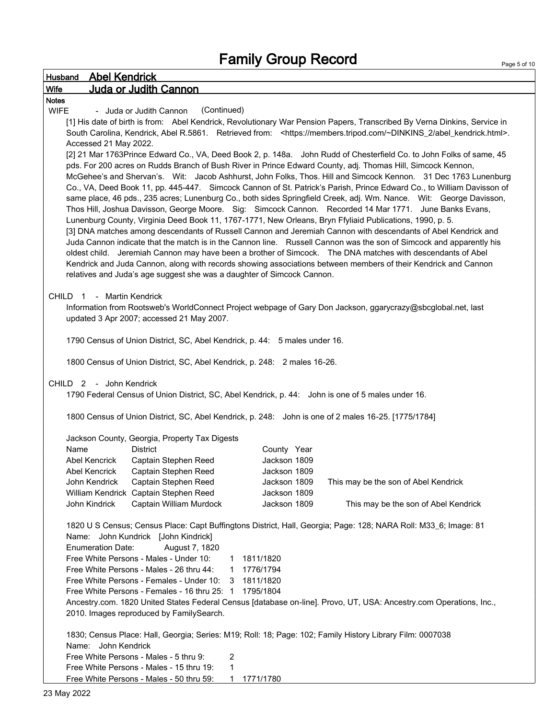| <b>Husband Abel Kendrick</b>                                                                                                                                                                                              |
|---------------------------------------------------------------------------------------------------------------------------------------------------------------------------------------------------------------------------|
| Wife<br>Juda or Judith Cannon                                                                                                                                                                                             |
| <b>Notes</b>                                                                                                                                                                                                              |
| <b>WIFE</b><br>(Continued)<br>- Juda or Judith Cannon                                                                                                                                                                     |
| [1] His date of birth is from: Abel Kendrick, Revolutionary War Pension Papers, Transcribed By Verna Dinkins, Service in                                                                                                  |
| South Carolina, Kendrick, Abel R.5861. Retrieved from: <https: abel_kendrick.html="" members.tripod.com="" ~dinkins_2="">.</https:>                                                                                       |
| Accessed 21 May 2022.                                                                                                                                                                                                     |
| [2] 21 Mar 1763Prince Edward Co., VA, Deed Book 2, p. 148a. John Rudd of Chesterfield Co. to John Folks of same, 45                                                                                                       |
| pds. For 200 acres on Rudds Branch of Bush River in Prince Edward County, adj. Thomas Hill, Simcock Kennon,                                                                                                               |
| McGehee's and Shervan's. Wit: Jacob Ashhurst, John Folks, Thos. Hill and Simcock Kennon. 31 Dec 1763 Lunenburg                                                                                                            |
| Co., VA, Deed Book 11, pp. 445-447. Simcock Cannon of St. Patrick's Parish, Prince Edward Co., to William Davisson of                                                                                                     |
| same place, 46 pds., 235 acres; Lunenburg Co., both sides Springfield Creek, adj. Wm. Nance. Wit: George Davisson,                                                                                                        |
| Thos Hill, Joshua Davisson, George Moore. Sig: Simcock Cannon. Recorded 14 Mar 1771. June Banks Evans,                                                                                                                    |
| Lunenburg County, Virginia Deed Book 11, 1767-1771, New Orleans, Bryn Ffyliaid Publications, 1990, p. 5.<br>[3] DNA matches among descendants of Russell Cannon and Jeremiah Cannon with descendants of Abel Kendrick and |
| Juda Cannon indicate that the match is in the Cannon line. Russell Cannon was the son of Simcock and apparently his                                                                                                       |
| oldest child. Jeremiah Cannon may have been a brother of Simcock. The DNA matches with descendants of Abel                                                                                                                |
| Kendrick and Juda Cannon, along with records showing associations between members of their Kendrick and Cannon                                                                                                            |
| relatives and Juda's age suggest she was a daughter of Simcock Cannon.                                                                                                                                                    |
|                                                                                                                                                                                                                           |
| CHILD 1 - Martin Kendrick                                                                                                                                                                                                 |
| Information from Rootsweb's WorldConnect Project webpage of Gary Don Jackson, ggarycrazy@sbcglobal.net, last                                                                                                              |
| updated 3 Apr 2007; accessed 21 May 2007.                                                                                                                                                                                 |
|                                                                                                                                                                                                                           |
| 1790 Census of Union District, SC, Abel Kendrick, p. 44: 5 males under 16.                                                                                                                                                |
|                                                                                                                                                                                                                           |
| 1800 Census of Union District, SC, Abel Kendrick, p. 248: 2 males 16-26.                                                                                                                                                  |
|                                                                                                                                                                                                                           |
| CHILD 2 - John Kendrick                                                                                                                                                                                                   |
| 1790 Federal Census of Union District, SC, Abel Kendrick, p. 44: John is one of 5 males under 16.                                                                                                                         |
| 1800 Census of Union District, SC, Abel Kendrick, p. 248: John is one of 2 males 16-25. [1775/1784]                                                                                                                       |
|                                                                                                                                                                                                                           |
| Jackson County, Georgia, Property Tax Digests                                                                                                                                                                             |
| Name<br><b>District</b><br>County Year                                                                                                                                                                                    |
| Abel Kencrick<br>Jackson 1809<br>Captain Stephen Reed                                                                                                                                                                     |
| Captain Stephen Reed<br>Jackson 1809<br>Abel Kencrick                                                                                                                                                                     |
| John Kendrick<br>Captain Stephen Reed<br>Jackson 1809<br>This may be the son of Abel Kendrick                                                                                                                             |
| William Kendrick Captain Stephen Reed<br>Jackson 1809                                                                                                                                                                     |
| John Kindrick<br>Captain William Murdock<br>Jackson 1809<br>This may be the son of Abel Kendrick                                                                                                                          |
|                                                                                                                                                                                                                           |
| 1820 U S Census; Census Place: Capt Buffingtons District, Hall, Georgia; Page: 128; NARA Roll: M33_6; Image: 81                                                                                                           |
| Name: John Kundrick [John Kindrick]                                                                                                                                                                                       |
| <b>Enumeration Date:</b><br>August 7, 1820                                                                                                                                                                                |
| Free White Persons - Males - Under 10:<br>1811/1820<br>1                                                                                                                                                                  |
| Free White Persons - Males - 26 thru 44:<br>1776/1794<br>1.                                                                                                                                                               |
| Free White Persons - Females - Under 10:<br>1811/1820<br>3                                                                                                                                                                |
| Free White Persons - Females - 16 thru 25: 1 1795/1804                                                                                                                                                                    |
| Ancestry.com. 1820 United States Federal Census [database on-line]. Provo, UT, USA: Ancestry.com Operations, Inc.,                                                                                                        |
| 2010. Images reproduced by FamilySearch.                                                                                                                                                                                  |
| 1830; Census Place: Hall, Georgia; Series: M19; Roll: 18; Page: 102; Family History Library Film: 0007038                                                                                                                 |
| Name: John Kendrick                                                                                                                                                                                                       |
| Free White Persons - Males - 5 thru 9:<br>2                                                                                                                                                                               |
| Free White Persons - Males - 15 thru 19:<br>1                                                                                                                                                                             |
| Free White Persons - Males - 50 thru 59:<br>1771/1780<br>$\mathbf 1$                                                                                                                                                      |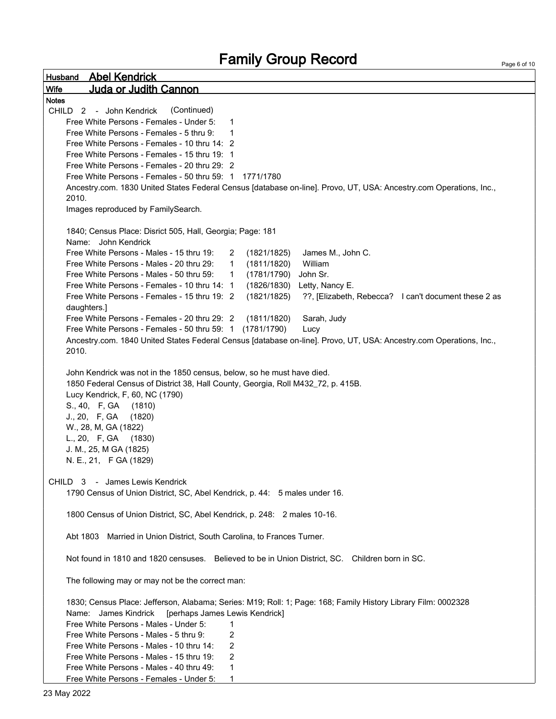Husband Abel Kendrick Wife Juda or Judith Cannon Page 6 of 10 Notes CHILD 2 - John Kendrick (Continued) Free White Persons - Females - Under 5: 1 Free White Persons - Females - 5 thru  $9<sup>1</sup>$  1 Free White Persons - Females - 10 thru 14: 2 Free White Persons - Females - 15 thru 19: 1 Free White Persons - Females - 20 thru 29: 2 Free White Persons - Females - 50 thru 59: 1 1771/1780 Ancestry.com. 1830 United States Federal Census [database on-line]. Provo, UT, USA: Ancestry.com Operations, Inc., 2010. Images reproduced by FamilySearch. 1840; Census Place: Disrict 505, Hall, Georgia; Page: 181 Name: John Kendrick Free White Persons - Males - 15 thru 19: 2 (1821/1825) James M., John C. Free White Persons - Males - 20 thru 29: 1 (1811/1820) William Free White Persons - Males - 50 thru 59: 1 (1781/1790) John Sr. Free White Persons - Females - 10 thru 14: 1 (1826/1830) Letty, Nancy E. Free White Persons - Females - 15 thru 19: 2 (1821/1825) ??, [Elizabeth, Rebecca? I can't document these 2 as daughters.] Free White Persons - Females - 20 thru 29: 2 (1811/1820) Sarah, Judy Free White Persons - Females - 50 thru 59: 1 (1781/1790) Lucy Ancestry.com. 1840 United States Federal Census [database on-line]. Provo, UT, USA: Ancestry.com Operations, Inc., 2010. John Kendrick was not in the 1850 census, below, so he must have died. 1850 Federal Census of District 38, Hall County, Georgia, Roll M432\_72, p. 415B. Lucy Kendrick, F, 60, NC (1790) S., 40, F, GA (1810) J., 20, F, GA (1820) W., 28, M, GA (1822) L., 20, F, GA (1830) J. M., 25, M GA (1825) N. E., 21, F GA (1829) CHILD 3 - James Lewis Kendrick 1790 Census of Union District, SC, Abel Kendrick, p. 44: 5 males under 16. 1800 Census of Union District, SC, Abel Kendrick, p. 248: 2 males 10-16. Abt 1803 Married in Union District, South Carolina, to Frances Turner. Not found in 1810 and 1820 censuses. Believed to be in Union District, SC. Children born in SC. The following may or may not be the correct man: 1830; Census Place: Jefferson, Alabama; Series: M19; Roll: 1; Page: 168; Family History Library Film: 0002328 Name: James Kindrick [perhaps James Lewis Kendrick] Free White Persons - Males - Under 5: 1 Free White Persons - Males - 5 thru 9: 2 Free White Persons - Males - 10 thru 14: 2 Free White Persons - Males - 15 thru 19: 2 Free White Persons - Males - 40 thru 49: 1 Free White Persons - Females - Under 5: 1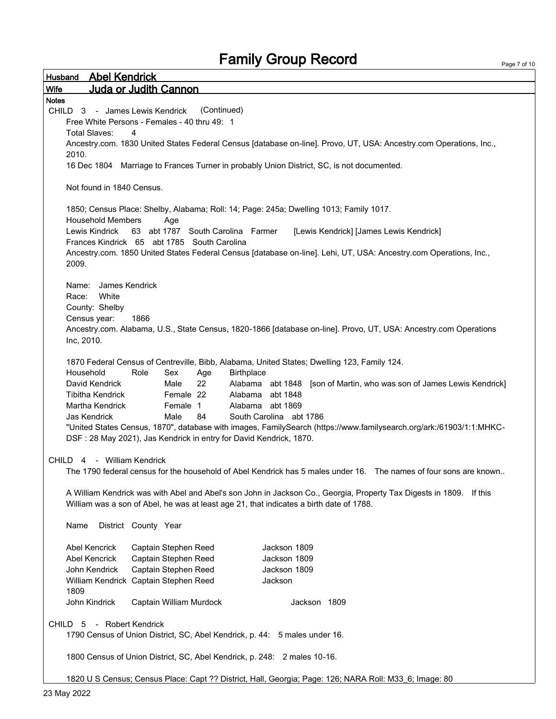| <b>Abel Kendrick</b><br>Husband                                                                                                                                                                                |  |  |  |
|----------------------------------------------------------------------------------------------------------------------------------------------------------------------------------------------------------------|--|--|--|
| Juda or Judith Cannon<br><b>Wife</b>                                                                                                                                                                           |  |  |  |
| <b>Notes</b>                                                                                                                                                                                                   |  |  |  |
| (Continued)<br>CHILD 3 - James Lewis Kendrick                                                                                                                                                                  |  |  |  |
| Free White Persons - Females - 40 thru 49: 1                                                                                                                                                                   |  |  |  |
| <b>Total Slaves:</b><br>4                                                                                                                                                                                      |  |  |  |
| Ancestry.com. 1830 United States Federal Census [database on-line]. Provo, UT, USA: Ancestry.com Operations, Inc.,                                                                                             |  |  |  |
| 2010.<br>16 Dec 1804 Marriage to Frances Turner in probably Union District, SC, is not documented.                                                                                                             |  |  |  |
|                                                                                                                                                                                                                |  |  |  |
| Not found in 1840 Census.                                                                                                                                                                                      |  |  |  |
| 1850; Census Place: Shelby, Alabama; Roll: 14; Page: 245a; Dwelling 1013; Family 1017.                                                                                                                         |  |  |  |
| <b>Household Members</b><br>Age                                                                                                                                                                                |  |  |  |
| abt 1787 South Carolina Farmer<br>Lewis Kindrick<br>63<br>[Lewis Kendrick] [James Lewis Kendrick]                                                                                                              |  |  |  |
| Frances Kindrick 65 abt 1785 South Carolina                                                                                                                                                                    |  |  |  |
| Ancestry.com. 1850 United States Federal Census [database on-line]. Lehi, UT, USA: Ancestry.com Operations, Inc.,                                                                                              |  |  |  |
| 2009.                                                                                                                                                                                                          |  |  |  |
| James Kendrick<br>Name:                                                                                                                                                                                        |  |  |  |
| White<br>Race:                                                                                                                                                                                                 |  |  |  |
| County: Shelby                                                                                                                                                                                                 |  |  |  |
| Census year:<br>1866                                                                                                                                                                                           |  |  |  |
| Ancestry.com. Alabama, U.S., State Census, 1820-1866 [database on-line]. Provo, UT, USA: Ancestry.com Operations                                                                                               |  |  |  |
| Inc, 2010.                                                                                                                                                                                                     |  |  |  |
|                                                                                                                                                                                                                |  |  |  |
| 1870 Federal Census of Centreville, Bibb, Alabama, United States; Dwelling 123, Family 124.                                                                                                                    |  |  |  |
| Household<br>Role<br>Sex<br>Birthplace<br>Age                                                                                                                                                                  |  |  |  |
| David Kendrick<br>22<br>Alabama abt 1848 [son of Martin, who was son of James Lewis Kendrick]<br>Male                                                                                                          |  |  |  |
| Female 22<br>Alabama abt 1848<br><b>Tibitha Kendrick</b><br>Alabama abt 1869                                                                                                                                   |  |  |  |
| Martha Kendrick<br>Female 1<br>South Carolina abt 1786<br>Jas Kendrick<br>Male<br>84                                                                                                                           |  |  |  |
| "United States Census, 1870", database with images, FamilySearch (https://www.familysearch.org/ark:/61903/1:1:MHKC-                                                                                            |  |  |  |
| DSF: 28 May 2021), Jas Kendrick in entry for David Kendrick, 1870.                                                                                                                                             |  |  |  |
|                                                                                                                                                                                                                |  |  |  |
| CHILD 4 - William Kendrick                                                                                                                                                                                     |  |  |  |
| The 1790 federal census for the household of Abel Kendrick has 5 males under 16. The names of four sons are known                                                                                              |  |  |  |
|                                                                                                                                                                                                                |  |  |  |
| A William Kendrick was with Abel and Abel's son John in Jackson Co., Georgia, Property Tax Digests in 1809. If this<br>William was a son of Abel, he was at least age 21, that indicates a birth date of 1788. |  |  |  |
|                                                                                                                                                                                                                |  |  |  |
| District County Year<br>Name                                                                                                                                                                                   |  |  |  |
| <b>Abel Kencrick</b><br>Captain Stephen Reed<br>Jackson 1809                                                                                                                                                   |  |  |  |
| Captain Stephen Reed<br><b>Abel Kencrick</b><br>Jackson 1809                                                                                                                                                   |  |  |  |
| Captain Stephen Reed<br>John Kendrick<br>Jackson 1809                                                                                                                                                          |  |  |  |
| William Kendrick Captain Stephen Reed<br>Jackson                                                                                                                                                               |  |  |  |
| 1809                                                                                                                                                                                                           |  |  |  |
| John Kindrick<br>Captain William Murdock<br>Jackson 1809                                                                                                                                                       |  |  |  |
|                                                                                                                                                                                                                |  |  |  |
| - Robert Kendrick<br>5<br><b>CHILD</b>                                                                                                                                                                         |  |  |  |
| 1790 Census of Union District, SC, Abel Kendrick, p. 44: 5 males under 16.                                                                                                                                     |  |  |  |

1800 Census of Union District, SC, Abel Kendrick, p. 248: 2 males 10-16.

1820 U S Census; Census Place: Capt ?? District, Hall, Georgia; Page: 126; NARA Roll: M33\_6; Image: 80

Page 7 of 10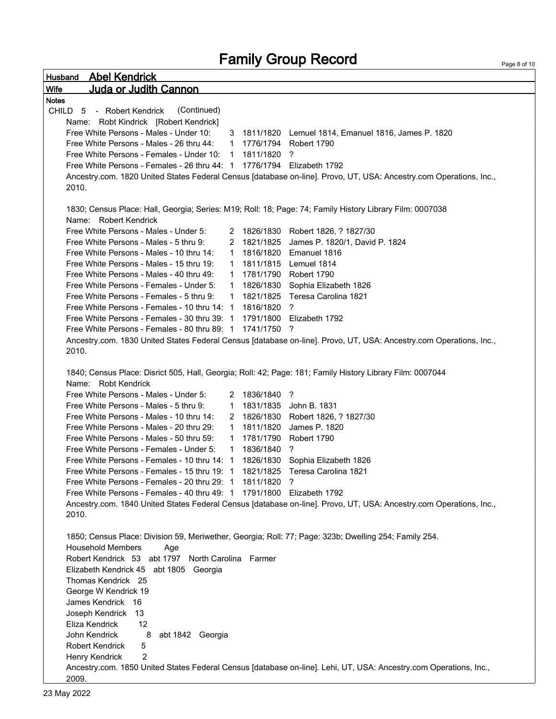```
Husband Abel Kendrick 
Wife Juda or Judith Cannon 
                                                                                                                Page 8 of 10
Notes 
CHILD 5 - Robert Kendrick (Continued)
    Name: Robt Kindrick [Robert Kendrick]
    Free White Persons - Males - Under 10: 3 1811/1820 Lemuel 1814, Emanuel 1816, James P. 1820
    Free White Persons - Males - 26 thru 44: 1 1776/1794 Robert 1790
    Free White Persons - Females - Under 10: 1 1811/1820 ?
    Free White Persons - Females - 26 thru 44: 1 1776/1794 Elizabeth 1792
    Ancestry.com. 1820 United States Federal Census [database on-line]. Provo, UT, USA: Ancestry.com Operations, Inc., 
    2010. 
    1830; Census Place: Hall, Georgia; Series: M19; Roll: 18; Page: 74; Family History Library Film: 0007038
    Name: Robert Kendrick
    Free White Persons - Males - Under 5: 2 1826/1830 Robert 1826, ? 1827/30
    Free White Persons - Males - 5 thru 9: 2 1821/1825 James P. 1820/1, David P. 1824
    Free White Persons - Males - 10 thru 14: 1 1816/1820 Emanuel 1816
    Free White Persons - Males - 15 thru 19: 1 1811/1815 Lemuel 1814
    Free White Persons - Males - 40 thru 49: 1 1781/1790 Robert 1790
    Free White Persons - Females - Under 5: 1 1826/1830 Sophia Elizabeth 1826
    Free White Persons - Females - 5 thru 9: 1 1821/1825 Teresa Carolina 1821
    Free White Persons - Females - 10 thru 14: 1 1816/1820 ?
    Free White Persons - Females - 30 thru 39: 1 1791/1800 Elizabeth 1792
    Free White Persons - Females - 80 thru 89: 1 1741/1750 ?
    Ancestry.com. 1830 United States Federal Census [database on-line]. Provo, UT, USA: Ancestry.com Operations, Inc., 
    2010. 
    1840; Census Place: Disrict 505, Hall, Georgia; Roll: 42; Page: 181; Family History Library Film: 0007044
    Name: Robt Kendrick
    Free White Persons - Males - Under 5: 2 1836/1840 ?
    Free White Persons - Males - 5 thru 9: 1 1831/1835 John B. 1831
    Free White Persons - Males - 10 thru 14: 2 1826/1830 Robert 1826, ? 1827/30
    Free White Persons - Males - 20 thru 29: 1 1811/1820 James P. 1820
    Free White Persons - Males - 50 thru 59: 1 1781/1790 Robert 1790
    Free White Persons - Females - Under 5: 1 1836/1840 ?
    Free White Persons - Females - 10 thru 14: 1 1826/1830 Sophia Elizabeth 1826
    Free White Persons - Females - 15 thru 19: 1 1821/1825 Teresa Carolina 1821
    Free White Persons - Females - 20 thru 29: 1 1811/1820 ?
    Free White Persons - Females - 40 thru 49: 1 1791/1800 Elizabeth 1792
    Ancestry.com. 1840 United States Federal Census [database on-line]. Provo, UT, USA: Ancestry.com Operations, Inc., 
    2010.
    1850; Census Place: Division 59, Meriwether, Georgia; Roll: 77; Page: 323b; Dwelling 254; Family 254.
    Household Members Age
    Robert Kendrick 53 abt 1797 North Carolina Farmer
    Elizabeth Kendrick 45 abt 1805 Georgia
    Thomas Kendrick 25
    George W Kendrick 19
    James Kendrick 16
    Joseph Kendrick 13
    Eliza Kendrick 12
    John Kendrick 8 abt 1842 Georgia
    Robert Kendrick 5
    Henry Kendrick 2
    Ancestry.com. 1850 United States Federal Census [database on-line]. Lehi, UT, USA: Ancestry.com Operations, Inc., 
    2009.
```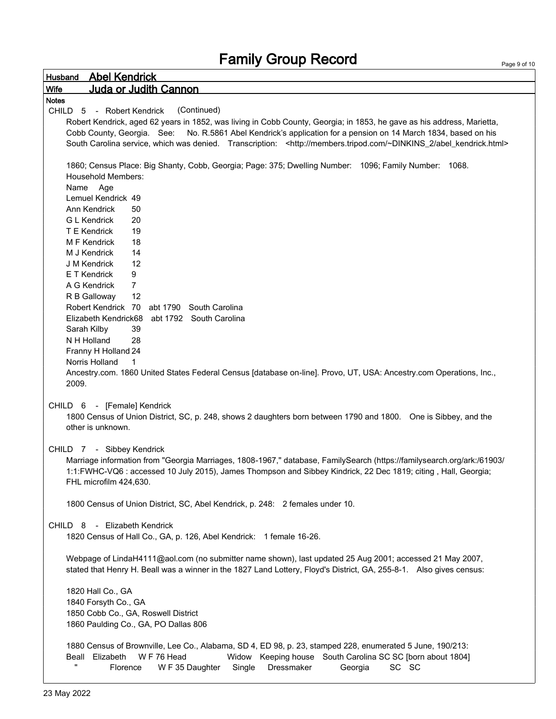| Wife<br>Juda or Judith Cannon<br><b>Notes</b><br>CHILD 5 - Robert Kendrick<br>(Continued)<br>Robert Kendrick, aged 62 years in 1852, was living in Cobb County, Georgia; in 1853, he gave as his address, Marietta,<br>Cobb County, Georgia. See:<br>No. R.5861 Abel Kendrick's application for a pension on 14 March 1834, based on his<br>South Carolina service, which was denied. Transcription: <http: abel_kendrick.html="" members.tripod.com="" ~dinkins_2=""><br/>1860; Census Place: Big Shanty, Cobb, Georgia; Page: 375; Dwelling Number: 1096; Family Number: 1068.<br/><b>Household Members:</b></http:> |
|------------------------------------------------------------------------------------------------------------------------------------------------------------------------------------------------------------------------------------------------------------------------------------------------------------------------------------------------------------------------------------------------------------------------------------------------------------------------------------------------------------------------------------------------------------------------------------------------------------------------|
|                                                                                                                                                                                                                                                                                                                                                                                                                                                                                                                                                                                                                        |
|                                                                                                                                                                                                                                                                                                                                                                                                                                                                                                                                                                                                                        |
|                                                                                                                                                                                                                                                                                                                                                                                                                                                                                                                                                                                                                        |
|                                                                                                                                                                                                                                                                                                                                                                                                                                                                                                                                                                                                                        |
|                                                                                                                                                                                                                                                                                                                                                                                                                                                                                                                                                                                                                        |
|                                                                                                                                                                                                                                                                                                                                                                                                                                                                                                                                                                                                                        |
|                                                                                                                                                                                                                                                                                                                                                                                                                                                                                                                                                                                                                        |
|                                                                                                                                                                                                                                                                                                                                                                                                                                                                                                                                                                                                                        |
|                                                                                                                                                                                                                                                                                                                                                                                                                                                                                                                                                                                                                        |
| Name Age                                                                                                                                                                                                                                                                                                                                                                                                                                                                                                                                                                                                               |
| Lemuel Kendrick 49<br>Ann Kendrick<br>50                                                                                                                                                                                                                                                                                                                                                                                                                                                                                                                                                                               |
| <b>G L Kendrick</b><br>20                                                                                                                                                                                                                                                                                                                                                                                                                                                                                                                                                                                              |
| 19<br>T E Kendrick                                                                                                                                                                                                                                                                                                                                                                                                                                                                                                                                                                                                     |
| M F Kendrick<br>18                                                                                                                                                                                                                                                                                                                                                                                                                                                                                                                                                                                                     |
| M J Kendrick<br>14                                                                                                                                                                                                                                                                                                                                                                                                                                                                                                                                                                                                     |
| 12<br>J M Kendrick                                                                                                                                                                                                                                                                                                                                                                                                                                                                                                                                                                                                     |
| E T Kendrick<br>9                                                                                                                                                                                                                                                                                                                                                                                                                                                                                                                                                                                                      |
| $\overline{7}$<br>A G Kendrick                                                                                                                                                                                                                                                                                                                                                                                                                                                                                                                                                                                         |
| 12<br>R B Galloway                                                                                                                                                                                                                                                                                                                                                                                                                                                                                                                                                                                                     |
| Robert Kendrick 70 abt 1790 South Carolina                                                                                                                                                                                                                                                                                                                                                                                                                                                                                                                                                                             |
| Elizabeth Kendrick68 abt 1792 South Carolina                                                                                                                                                                                                                                                                                                                                                                                                                                                                                                                                                                           |
| 39<br>Sarah Kilby                                                                                                                                                                                                                                                                                                                                                                                                                                                                                                                                                                                                      |
| N H Holland<br>28                                                                                                                                                                                                                                                                                                                                                                                                                                                                                                                                                                                                      |
| Franny H Holland 24                                                                                                                                                                                                                                                                                                                                                                                                                                                                                                                                                                                                    |
| Norris Holland<br>1                                                                                                                                                                                                                                                                                                                                                                                                                                                                                                                                                                                                    |
| Ancestry.com. 1860 United States Federal Census [database on-line]. Provo, UT, USA: Ancestry.com Operations, Inc.,                                                                                                                                                                                                                                                                                                                                                                                                                                                                                                     |
| 2009.                                                                                                                                                                                                                                                                                                                                                                                                                                                                                                                                                                                                                  |
|                                                                                                                                                                                                                                                                                                                                                                                                                                                                                                                                                                                                                        |
| CHILD 6 - [Female] Kendrick                                                                                                                                                                                                                                                                                                                                                                                                                                                                                                                                                                                            |
| 1800 Census of Union District, SC, p. 248, shows 2 daughters born between 1790 and 1800. One is Sibbey, and the<br>other is unknown.                                                                                                                                                                                                                                                                                                                                                                                                                                                                                   |
|                                                                                                                                                                                                                                                                                                                                                                                                                                                                                                                                                                                                                        |
| CHILD 7 - Sibbey Kendrick                                                                                                                                                                                                                                                                                                                                                                                                                                                                                                                                                                                              |
| Marriage information from "Georgia Marriages, 1808-1967," database, FamilySearch (https://familysearch.org/ark:/61903/                                                                                                                                                                                                                                                                                                                                                                                                                                                                                                 |
| 1:1:FWHC-VQ6 : accessed 10 July 2015), James Thompson and Sibbey Kindrick, 22 Dec 1819; citing, Hall, Georgia;                                                                                                                                                                                                                                                                                                                                                                                                                                                                                                         |
| FHL microfilm 424,630.                                                                                                                                                                                                                                                                                                                                                                                                                                                                                                                                                                                                 |
|                                                                                                                                                                                                                                                                                                                                                                                                                                                                                                                                                                                                                        |
| 1800 Census of Union District, SC, Abel Kendrick, p. 248: 2 females under 10.                                                                                                                                                                                                                                                                                                                                                                                                                                                                                                                                          |
|                                                                                                                                                                                                                                                                                                                                                                                                                                                                                                                                                                                                                        |
| CHILD 8 - Elizabeth Kendrick                                                                                                                                                                                                                                                                                                                                                                                                                                                                                                                                                                                           |
| 1820 Census of Hall Co., GA, p. 126, Abel Kendrick: 1 female 16-26.                                                                                                                                                                                                                                                                                                                                                                                                                                                                                                                                                    |
|                                                                                                                                                                                                                                                                                                                                                                                                                                                                                                                                                                                                                        |
| Webpage of LindaH4111@aol.com (no submitter name shown), last updated 25 Aug 2001; accessed 21 May 2007,                                                                                                                                                                                                                                                                                                                                                                                                                                                                                                               |
| stated that Henry H. Beall was a winner in the 1827 Land Lottery, Floyd's District, GA, 255-8-1. Also gives census:                                                                                                                                                                                                                                                                                                                                                                                                                                                                                                    |
|                                                                                                                                                                                                                                                                                                                                                                                                                                                                                                                                                                                                                        |
| 1820 Hall Co., GA                                                                                                                                                                                                                                                                                                                                                                                                                                                                                                                                                                                                      |
| 1840 Forsyth Co., GA                                                                                                                                                                                                                                                                                                                                                                                                                                                                                                                                                                                                   |
| 1850 Cobb Co., GA, Roswell District                                                                                                                                                                                                                                                                                                                                                                                                                                                                                                                                                                                    |
| 1860 Paulding Co., GA, PO Dallas 806                                                                                                                                                                                                                                                                                                                                                                                                                                                                                                                                                                                   |
| 1880 Census of Brownville, Lee Co., Alabama, SD 4, ED 98, p. 23, stamped 228, enumerated 5 June, 190/213:                                                                                                                                                                                                                                                                                                                                                                                                                                                                                                              |
| WF 76 Head<br>Beall Elizabeth<br>Widow Keeping house South Carolina SC SC [born about 1804]                                                                                                                                                                                                                                                                                                                                                                                                                                                                                                                            |
| W F 35 Daughter<br>Single<br>Dressmaker<br>SC SC<br>Florence<br>Georgia                                                                                                                                                                                                                                                                                                                                                                                                                                                                                                                                                |